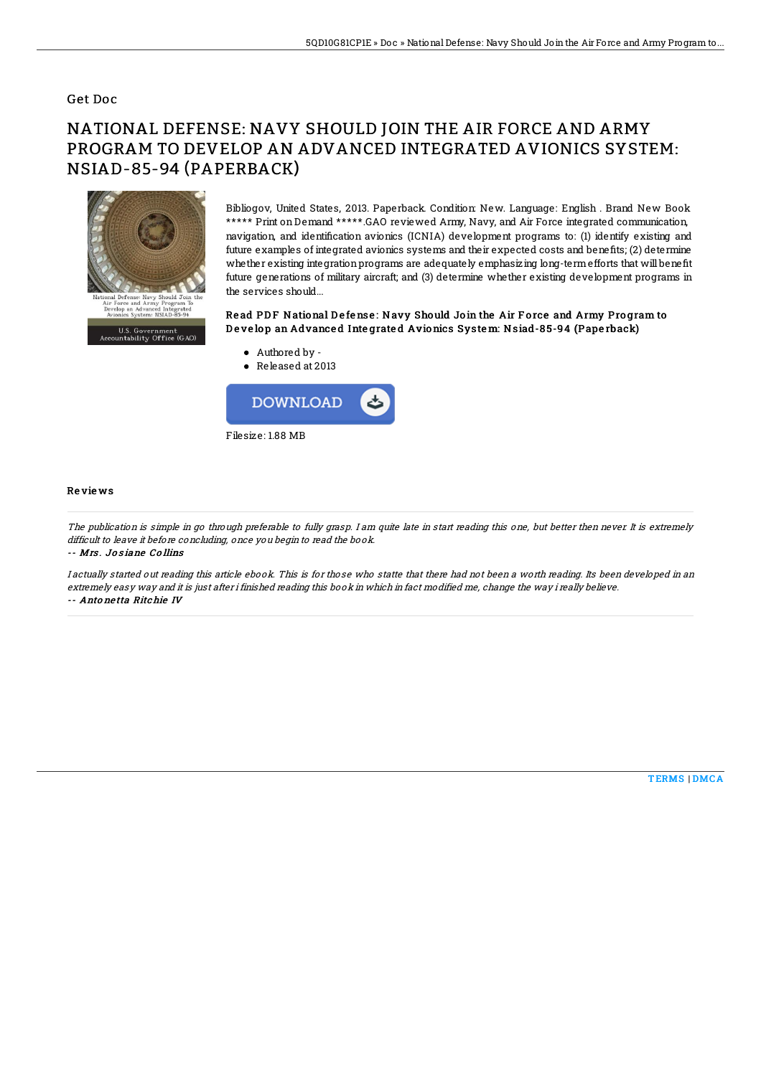### Get Doc

# NATIONAL DEFENSE: NAVY SHOULD JOIN THE AIR FORCE AND ARMY PROGRAM TO DEVELOP AN ADVANCED INTEGRATED AVIONICS SYSTEM: NSIAD-85-94 (PAPERBACK)



Bibliogov, United States, 2013. Paperback. Condition: New. Language: English . Brand New Book \*\*\*\*\* Print on Demand \*\*\*\*\*.GAO reviewed Army, Navy, and Air Force integrated communication, navigation, and identification avionics (ICNIA) development programs to: (1) identify existing and future examples of integrated avionics systems and their expected costs and benefits; (2) determine whether existing integration programs are adequately emphasizing long-term efforts that will benefit future generations of military aircraft; and (3) determine whether existing development programs in the services should...

#### Read PDF National Defense: Navy Should Join the Air Force and Army Program to Develop an Advanced Integrated Avionics System: Nsiad-85-94 (Paperback)

- Authored by -
- Released at 2013



#### Re vie ws

The publication is simple in go through preferable to fully grasp. I am quite late in start reading this one, but better then never. It is extremely difficult to leave it before concluding, once you begin to read the book.

-- Mrs . Jo s iane Co llins

I actually started out reading this article ebook. This is for those who statte that there had not been <sup>a</sup> worth reading. Its been developed in an extremely easy way and it is just after i finished reading this book in which in fact modified me, change the way i really believe. -- Anto ne tta Ritchie IV